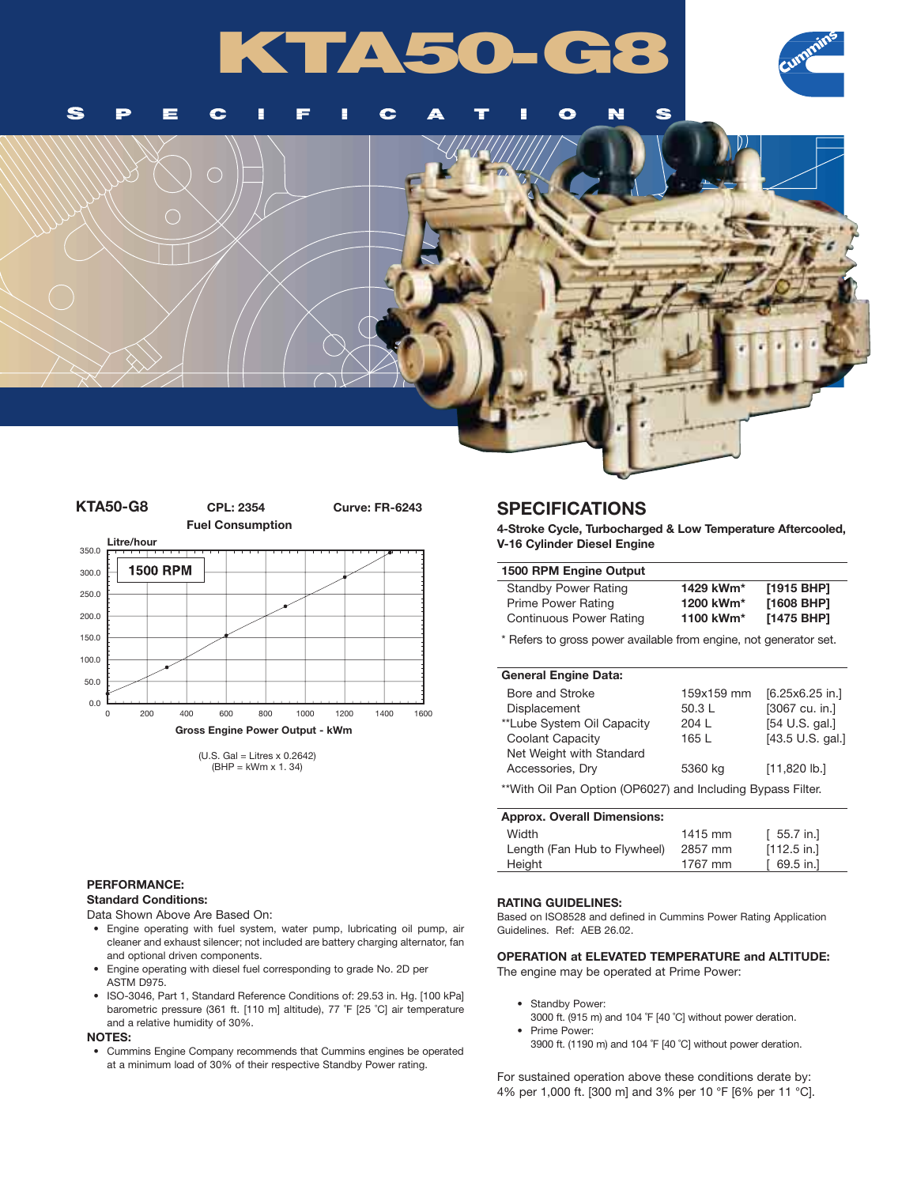# **KTA50-G8**



Ś S  $\bullet$ N l se Œ €

г

## **KTA50-G8 CPL: 2354 Curve: FR-6243 Fuel Consumption Litre/hour** 350.0 **1500 RPM** 300.0 250.0 200.0 150.0 100.0 50.0 0.0 0 200 400 600 800 1000 1200 1400 1600 **Gross Engine Power Output - kWm**

 $(U.S. Gal = Litres x 0.2642)$ (BHP = kWm x 1. 34)

#### **PERFORMANCE:**

#### **Standard Conditions:**

Data Shown Above Are Based On:

- Engine operating with fuel system, water pump, lubricating oil pump, air cleaner and exhaust silencer; not included are battery charging alternator, fan and optional driven components.
- Engine operating with diesel fuel corresponding to grade No. 2D per ASTM D975.
- ISO-3046, Part 1, Standard Reference Conditions of: 29.53 in. Hg. [100 kPa] barometric pressure (361 ft. [110 m] altitude), 77 ˚F [25 ˚C] air temperature and a relative humidity of 30%.

#### **NOTES:**

• Cummins Engine Company recommends that Cummins engines be operated at a minimum load of 30% of their respective Standby Power rating.

## **SPECIFICATIONS**

**4-Stroke Cycle, Turbocharged & Low Temperature Aftercooled, V-16 Cylinder Diesel Engine**

### **1500 RPM Engine Output**

| <b>Standby Power Rating</b> | 1429 kWm* | [1915 BHP] |
|-----------------------------|-----------|------------|
| Prime Power Rating          | 1200 kWm* | [1608 BHP] |
| Continuous Power Rating     | 1100 kWm* | [1475 BHP] |

\* Refers to gross power available from engine, not generator set.

#### **General Engine Data:**

| Bore and Stroke                                             | 159x159 mm | $[6.25x6.25$ in.] |
|-------------------------------------------------------------|------------|-------------------|
| Displacement                                                | 50.3L      | [3067 cu. in.]    |
| **Lube System Oil Capacity                                  | 204 L      | [54 U.S. gal.]    |
| Coolant Capacity                                            | 165 L      | [43.5 U.S. gal.]  |
| Net Weight with Standard                                    |            |                   |
| Accessories, Dry                                            | 5360 kg    | $[11,820$ lb.]    |
| **With Oil Pan Option (OP6027) and Including Bypass Filter. |            |                   |

| [55.7 in.]    |
|---------------|
| $[112.5$ in.] |
| 69.5 in.]     |
|               |

#### **RATING GUIDELINES:**

Based on ISO8528 and defined in Cummins Power Rating Application Guidelines. Ref: AEB 26.02.

**OPERATION at ELEVATED TEMPERATURE and ALTITUDE:** The engine may be operated at Prime Power:

- Standby Power:
- 3000 ft. (915 m) and 104 ˚F [40 ˚C] without power deration. • Prime Power:
- 3900 ft. (1190 m) and 104 ˚F [40 ˚C] without power deration.

For sustained operation above these conditions derate by: 4% per 1,000 ft. [300 m] and 3% per 10 °F [6% per 11 °C].